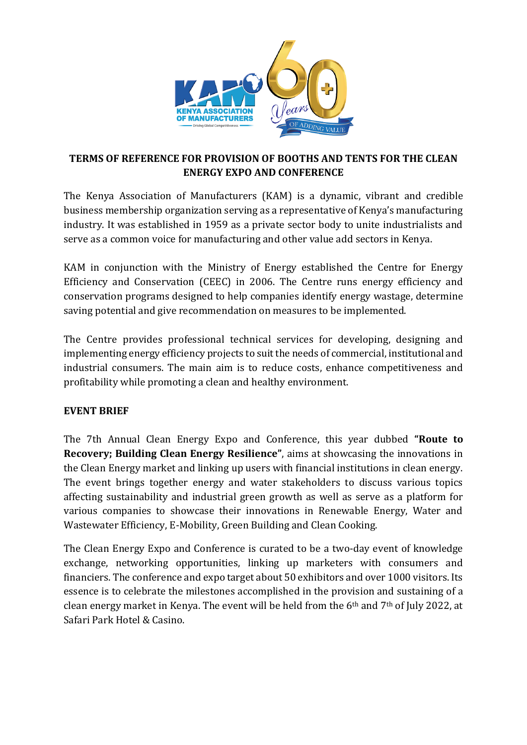

# **TERMS OF REFERENCE FOR PROVISION OF BOOTHS AND TENTS FOR THE CLEAN ENERGY EXPO AND CONFERENCE**

The Kenya Association of Manufacturers (KAM) is a dynamic, vibrant and credible business membership organization serving as a representative of Kenya's manufacturing industry. It was established in 1959 as a private sector body to unite industrialists and serve as a common voice for manufacturing and other value add sectors in Kenya.

KAM in conjunction with the Ministry of Energy established the Centre for Energy Efficiency and Conservation (CEEC) in 2006. The Centre runs energy efficiency and conservation programs designed to help companies identify energy wastage, determine saving potential and give recommendation on measures to be implemented.

The Centre provides professional technical services for developing, designing and implementing energy efficiency projects to suit the needs of commercial, institutional and industrial consumers. The main aim is to reduce costs, enhance competitiveness and profitability while promoting a clean and healthy environment.

# **EVENT BRIEF**

The 7th Annual Clean Energy Expo and Conference, this year dubbed **"Route to Recovery; Building Clean Energy Resilience"**, aims at showcasing the innovations in the Clean Energy market and linking up users with financial institutions in clean energy. The event brings together energy and water stakeholders to discuss various topics affecting sustainability and industrial green growth as well as serve as a platform for various companies to showcase their innovations in Renewable Energy, Water and Wastewater Efficiency, E-Mobility, Green Building and Clean Cooking.

The Clean Energy Expo and Conference is curated to be a two-day event of knowledge exchange, networking opportunities, linking up marketers with consumers and financiers. The conference and expo target about 50 exhibitors and over 1000 visitors. Its essence is to celebrate the milestones accomplished in the provision and sustaining of a clean energy market in Kenya. The event will be held from the  $6<sup>th</sup>$  and  $7<sup>th</sup>$  of July 2022, at Safari Park Hotel & Casino.